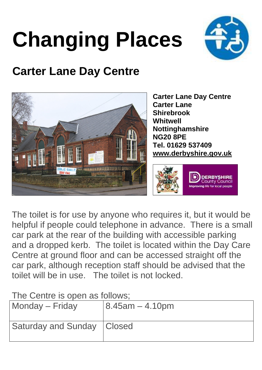## **Changing Places**



## **Carter Lane Day Centre**



**Carter Lane Day Centre Carter Lane Shirebrook Whitwell Nottinghamshire NG20 8PE Tel. 01629 537409 www.derbyshire.gov.uk**



The toilet is for use by anyone who requires it, but it would be helpful if people could telephone in advance. There is a small car park at the rear of the building with accessible parking and a dropped kerb. The toilet is located within the Day Care Centre at ground floor and can be accessed straight off the car park, although reception staff should be advised that the toilet will be in use. The toilet is not locked.

The Centre is open as follows:

| Monday – Friday              | $8.45$ am $-4.10$ pm |
|------------------------------|----------------------|
| Saturday and Sunday   Closed |                      |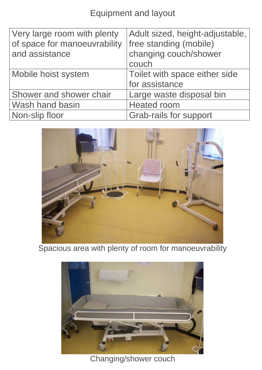Equipment and layout

| Very large room with plenty  | Adult sized, height-adjustable, |
|------------------------------|---------------------------------|
| of space for manoeuvrability | free standing (mobile)          |
| and assistance               | changing couch/shower           |
|                              | couch                           |
| Mobile hoist system          | Toilet with space either side   |
|                              | for assistance                  |
| Shower and shower chair      | Large waste disposal bin        |
| Wash hand basin              | <b>Heated room</b>              |
| Non-slip floor               | <b>Grab-rails for support</b>   |



Spacious area with plenty of room for manoeuvrability



Changing/shower couch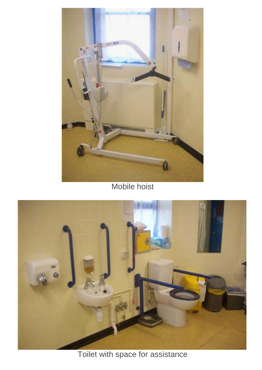

Mobile hoist



Toilet with space for assistance